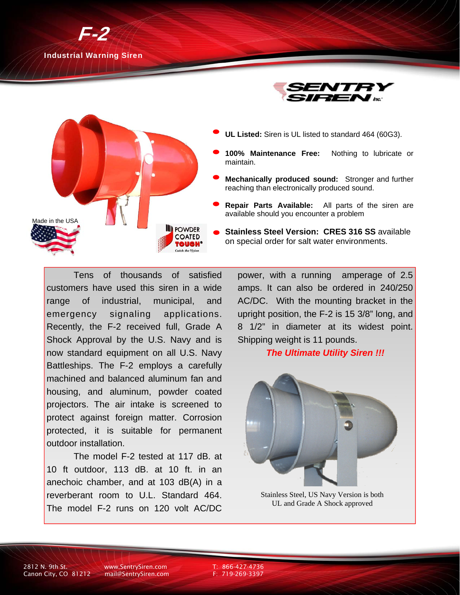





- **UL Listed:** Siren is UL listed to standard 464 (60G3).
- **100% Maintenance Free:** Nothing to lubricate or maintain.
- **Mechanically produced sound:** Stronger and further reaching than electronically produced sound.
- **Repair Parts Available:** All parts of the siren are available should you encounter a problem
- **Stainless Steel Version: CRES 316 SS** available on special order for salt water environments.

Tens of thousands of satisfied customers have used this siren in a wide range of industrial, municipal, and emergency signaling applications. Recently, the F-2 received full, Grade A Shock Approval by the U.S. Navy and is now standard equipment on all U.S. Navy Battleships. The F-2 employs a carefully machined and balanced aluminum fan and housing, and aluminum, powder coated projectors. The air intake is screened to protect against foreign matter. Corrosion protected, it is suitable for permanent outdoor installation.

 The model F-2 tested at 117 dB. at 10 ft outdoor, 113 dB. at 10 ft. in an anechoic chamber, and at 103 dB(A) in a reverberant room to U.L. Standard 464. The model F-2 runs on 120 volt AC/DC

power, with a running amperage of 2.5 amps. It can also be ordered in 240/250 AC/DC. With the mounting bracket in the upright position, the F-2 is 15 3/8" long, and 8 1/2" in diameter at its widest point. Shipping weight is 11 pounds.

### *The Ultimate Utility Siren !!!*



Stainless Steel, US Navy Version is both UL and Grade A Shock approved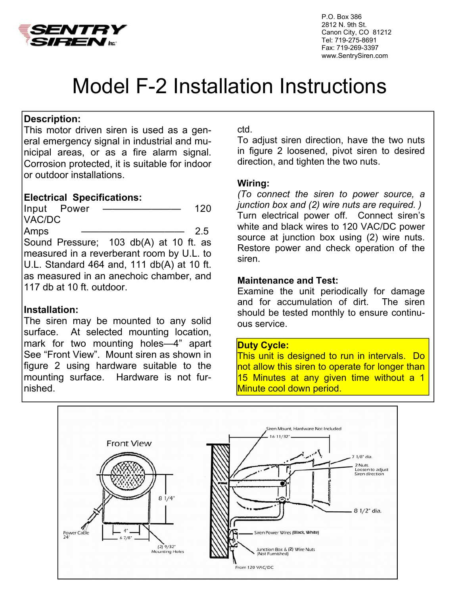

 P.O. Box 386 2812 N. 9th St. Canon City, CO 81212 Tel: 719-275-8691 Fax: 719-269-3397 www.SentrySiren.com

# Model F-2 Installation Instructions

# **Description:**

This motor driven siren is used as a general emergency signal in industrial and municipal areas, or as a fire alarm signal. Corrosion protected, it is suitable for indoor or outdoor installations.

## **Electrical Specifications:**

Input Power ———————— 120 VAC/DC Amps ——————————————— 2.5 Sound Pressure; 103 db(A) at 10 ft. as measured in a reverberant room by U.L. to U.L. Standard 464 and, 111 db(A) at 10 ft. as measured in an anechoic chamber, and 117 db at 10 ft. outdoor.

# **Installation:**

The siren may be mounted to any solid surface. At selected mounting location, mark for two mounting holes—4" apart See "Front View". Mount siren as shown in figure 2 using hardware suitable to the mounting surface. Hardware is not furnished.

### ctd.

To adjust siren direction, have the two nuts in figure 2 loosened, pivot siren to desired direction, and tighten the two nuts.

### **Wiring:**

*(To connect the siren to power source, a junction box and (2) wire nuts are required. )*  Turn electrical power off. Connect siren's white and black wires to 120 VAC/DC power source at junction box using (2) wire nuts. Restore power and check operation of the siren.

### **Maintenance and Test:**

Examine the unit periodically for damage and for accumulation of dirt. The siren should be tested monthly to ensure continuous service.

### **Duty Cycle:**

This unit is designed to run in intervals. Do not allow this siren to operate for longer than 15 Minutes at any given time without a 1 Minute cool down period.